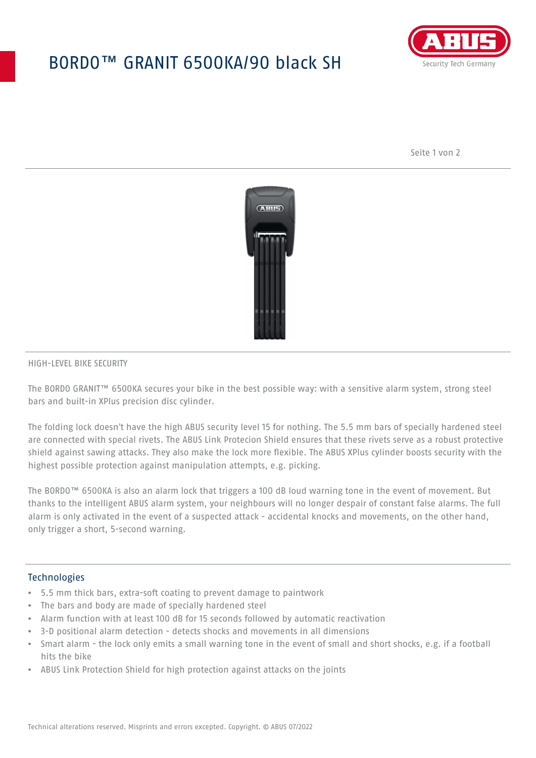# BORDO™ GRANIT 6500KA/90 black SH



Seite 1 von 2



### HIGH-LEVEL BIKE SECURITY

The BORDO GRANIT™ 6500KA secures your bike in the best possible way: with a sensitive alarm system, strong steel bars and built-in XPlus precision disc cylinder.

The folding lock doesn't have the high ABUS security level 15 for nothing. The 5.5 mm bars of specially hardened steel are connected with special rivets. The ABUS Link Protecion Shield ensures that these rivets serve as a robust protective shield against sawing attacks. They also make the lock more flexible. The ABUS XPlus cylinder boosts security with the highest possible protection against manipulation attempts, e.g. picking.

The BORDO™ 6500KA is also an alarm lock that triggers a 100 dB loud warning tone in the event of movement. But thanks to the intelligent ABUS alarm system, your neighbours will no longer despair of constant false alarms. The full alarm is only activated in the event of a suspected attack - accidental knocks and movements, on the other hand, only trigger a short, 5-second warning.

#### **Technologies**

- 5.5 mm thick bars, extra-soft coating to prevent damage to paintwork
- The bars and body are made of specially hardened steel
- Alarm function with at least 100 dB for 15 seconds followed by automatic reactivation
- 3-D positional alarm detection detects shocks and movements in all dimensions
- Smart alarm the lock only emits a small warning tone in the event of small and short shocks, e.g. if a football hits the bike
- ABUS Link Protection Shield for high protection against attacks on the joints